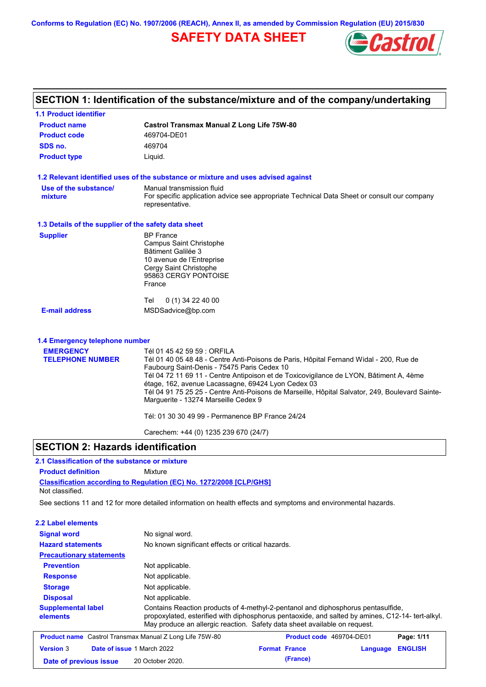**Conforms to Regulation (EC) No. 1907/2006 (REACH), Annex II, as amended by Commission Regulation (EU) 2015/830**

## **SAFETY DATA SHEET**



# **SECTION 1: Identification of the substance/mixture and of the company/undertaking**

| <b>1.1 Product identifier</b>                        |                                                                                                                                                                                                                                                                                                                                                                                                                                                                                                                     |
|------------------------------------------------------|---------------------------------------------------------------------------------------------------------------------------------------------------------------------------------------------------------------------------------------------------------------------------------------------------------------------------------------------------------------------------------------------------------------------------------------------------------------------------------------------------------------------|
| <b>Product name</b>                                  | <b>Castrol Transmax Manual Z Long Life 75W-80</b>                                                                                                                                                                                                                                                                                                                                                                                                                                                                   |
| <b>Product code</b>                                  | 469704-DE01                                                                                                                                                                                                                                                                                                                                                                                                                                                                                                         |
| SDS no.                                              | 469704                                                                                                                                                                                                                                                                                                                                                                                                                                                                                                              |
| <b>Product type</b>                                  | Liquid.                                                                                                                                                                                                                                                                                                                                                                                                                                                                                                             |
|                                                      | 1.2 Relevant identified uses of the substance or mixture and uses advised against                                                                                                                                                                                                                                                                                                                                                                                                                                   |
| Use of the substance/<br>mixture                     | Manual transmission fluid<br>For specific application advice see appropriate Technical Data Sheet or consult our company<br>representative.                                                                                                                                                                                                                                                                                                                                                                         |
| 1.3 Details of the supplier of the safety data sheet |                                                                                                                                                                                                                                                                                                                                                                                                                                                                                                                     |
| <b>Supplier</b>                                      | <b>BP</b> France<br><b>Campus Saint Christophe</b><br>Bâtiment Galilée 3<br>10 avenue de l'Entreprise<br>Cergy Saint Christophe<br>95863 CERGY PONTOISE<br>France                                                                                                                                                                                                                                                                                                                                                   |
| <b>E-mail address</b>                                | Tel<br>$0(1)$ 34 22 40 00<br>MSDSadvice@bp.com                                                                                                                                                                                                                                                                                                                                                                                                                                                                      |
| 1.4 Emergency telephone number                       |                                                                                                                                                                                                                                                                                                                                                                                                                                                                                                                     |
| <b>EMERGENCY</b><br><b>TELEPHONE NUMBER</b>          | Tél 01 45 42 59 59 : ORFILA<br>Tél 01 40 05 48 48 - Centre Anti-Poisons de Paris, Hôpital Fernand Widal - 200, Rue de<br>Faubourg Saint-Denis - 75475 Paris Cedex 10<br>Tél 04 72 11 69 11 - Centre Antipoison et de Toxicovigilance de LYON, Bâtiment A, 4ème<br>étage, 162, avenue Lacassagne, 69424 Lyon Cedex 03<br>Tél 04 91 75 25 25 - Centre Anti-Poisons de Marseille, Hôpital Salvator, 249, Boulevard Sainte-<br>Marguerite - 13274 Marseille Cedex 9<br>Tél: 01 30 30 49 99 - Permanence BP France 24/24 |
|                                                      | Carechem: +44 (0) 1235 239 670 (24/7)                                                                                                                                                                                                                                                                                                                                                                                                                                                                               |

### **SECTION 2: Hazards identification**

### **2.1 Classification of the substance or mixture**

**Product definition** Mixture

**Classification according to Regulation (EC) No. 1272/2008 [CLP/GHS]** Not classified.

**Date of previous issue (France)** 20 October 2020.

See sections 11 and 12 for more detailed information on health effects and symptoms and environmental hazards.

| 2.2 Label elements                    |                                                                                                                                                                                                                                                                   |
|---------------------------------------|-------------------------------------------------------------------------------------------------------------------------------------------------------------------------------------------------------------------------------------------------------------------|
| <b>Signal word</b>                    | No signal word.                                                                                                                                                                                                                                                   |
| <b>Hazard statements</b>              | No known significant effects or critical hazards.                                                                                                                                                                                                                 |
| <b>Precautionary statements</b>       |                                                                                                                                                                                                                                                                   |
| <b>Prevention</b>                     | Not applicable.                                                                                                                                                                                                                                                   |
| <b>Response</b>                       | Not applicable.                                                                                                                                                                                                                                                   |
| <b>Storage</b>                        | Not applicable.                                                                                                                                                                                                                                                   |
| <b>Disposal</b>                       | Not applicable.                                                                                                                                                                                                                                                   |
| <b>Supplemental label</b><br>elements | Contains Reaction products of 4-methyl-2-pentanol and diphosphorus pentasulfide,<br>propoxylated, esterified with diphosphorus pentaoxide, and salted by amines, C12-14- tert-alkyl.<br>May produce an allergic reaction. Safety data sheet available on request. |
|                                       | <b>Product name</b> Castrol Transmax Manual Z Long Life 75W-80<br>Product code 469704-DE01<br>Page: 1/11                                                                                                                                                          |
| <b>Version 3</b>                      | Date of issue 1 March 2022<br><b>Format France</b><br><b>ENGLISH</b><br>Language                                                                                                                                                                                  |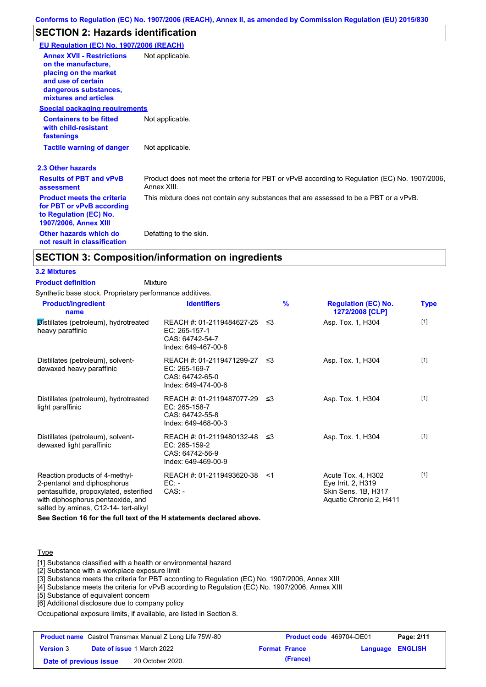## **SECTION 2: Hazards identification**

| EU Regulation (EC) No. 1907/2006 (REACH)                                                                                                                 |                                                                                                               |
|----------------------------------------------------------------------------------------------------------------------------------------------------------|---------------------------------------------------------------------------------------------------------------|
| <b>Annex XVII - Restrictions</b><br>on the manufacture.<br>placing on the market<br>and use of certain<br>dangerous substances,<br>mixtures and articles | Not applicable.                                                                                               |
| <b>Special packaging requirements</b>                                                                                                                    |                                                                                                               |
| <b>Containers to be fitted</b><br>with child-resistant<br>fastenings                                                                                     | Not applicable.                                                                                               |
| <b>Tactile warning of danger</b>                                                                                                                         | Not applicable.                                                                                               |
| 2.3 Other hazards                                                                                                                                        |                                                                                                               |
| <b>Results of PBT and vPvB</b><br>assessment                                                                                                             | Product does not meet the criteria for PBT or vPvB according to Regulation (EC) No. 1907/2006,<br>Annex XIII. |
| <b>Product meets the criteria</b><br>for PBT or vPvB according<br>to Regulation (EC) No.<br><b>1907/2006, Annex XIII</b>                                 | This mixture does not contain any substances that are assessed to be a PBT or a vPvB.                         |
| Other hazards which do<br>not result in classification                                                                                                   | Defatting to the skin.                                                                                        |

## **SECTION 3: Composition/information on ingredients**

### **3.2 Mixtures**

**Mixture Product definition**

Synthetic base stock. Proprietary performance additives.

| <b>Product/ingredient</b><br>name                                                                                                                                                    | <b>Identifiers</b>                                                                      | $\frac{9}{6}$ | <b>Regulation (EC) No.</b><br>1272/2008 [CLP]                                              | Type  |
|--------------------------------------------------------------------------------------------------------------------------------------------------------------------------------------|-----------------------------------------------------------------------------------------|---------------|--------------------------------------------------------------------------------------------|-------|
| Distillates (petroleum), hydrotreated<br>heavy paraffinic                                                                                                                            | REACH #: 01-2119484627-25 ≤3<br>EC: 265-157-1<br>CAS: 64742-54-7<br>Index: 649-467-00-8 |               | Asp. Tox. 1, H304                                                                          | $[1]$ |
| Distillates (petroleum), solvent-<br>dewaxed heavy paraffinic                                                                                                                        | REACH #: 01-2119471299-27 ≤3<br>EC: 265-169-7<br>CAS: 64742-65-0<br>Index: 649-474-00-6 |               | Asp. Tox. 1, H304                                                                          | $[1]$ |
| Distillates (petroleum), hydrotreated<br>light paraffinic                                                                                                                            | REACH #: 01-2119487077-29 ≤3<br>EC: 265-158-7<br>CAS: 64742-55-8<br>Index: 649-468-00-3 |               | Asp. Tox. 1, H304                                                                          | $[1]$ |
| Distillates (petroleum), solvent-<br>dewaxed light paraffinic                                                                                                                        | REACH #: 01-2119480132-48 ≤3<br>EC: 265-159-2<br>CAS: 64742-56-9<br>Index: 649-469-00-9 |               | Asp. Tox. 1, H304                                                                          | $[1]$ |
| Reaction products of 4-methyl-<br>2-pentanol and diphosphorus<br>pentasulfide, propoxylated, esterified<br>with diphosphorus pentaoxide, and<br>salted by amines, C12-14- tert-alkyl | REACH #: 01-2119493620-38<br>EC: -<br>$CAS: -$                                          | ั≺1           | Acute Tox. 4, H302<br>Eye Irrit. 2, H319<br>Skin Sens. 1B, H317<br>Aquatic Chronic 2, H411 | $[1]$ |

**See Section 16 for the full text of the H statements declared above.**

### **Type**

[1] Substance classified with a health or environmental hazard

[2] Substance with a workplace exposure limit

[3] Substance meets the criteria for PBT according to Regulation (EC) No. 1907/2006, Annex XIII

[4] Substance meets the criteria for vPvB according to Regulation (EC) No. 1907/2006, Annex XIII

[5] Substance of equivalent concern

[6] Additional disclosure due to company policy

Occupational exposure limits, if available, are listed in Section 8.

| <b>Product name</b> Castrol Transmax Manual Z Long Life 75W-80 |  | <b>Product code</b> 469704-DE01   |  | Page: 2/11           |                         |  |
|----------------------------------------------------------------|--|-----------------------------------|--|----------------------|-------------------------|--|
| <b>Version 3</b>                                               |  | <b>Date of issue 1 March 2022</b> |  | <b>Format France</b> | <b>Language ENGLISH</b> |  |
| Date of previous issue                                         |  | 20 October 2020.                  |  | (France)             |                         |  |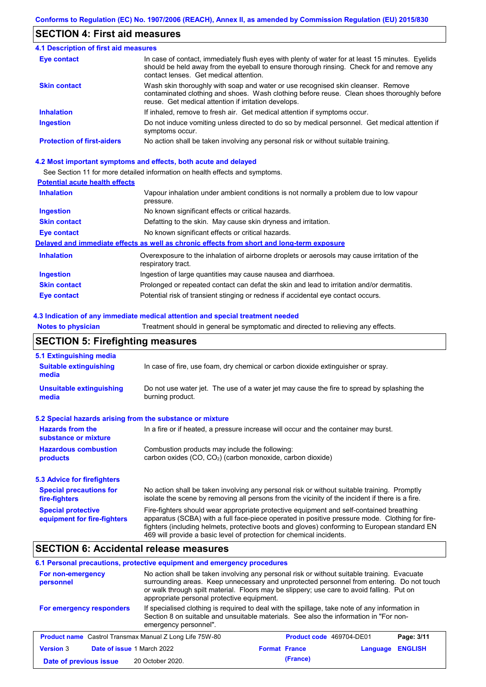## **SECTION 4: First aid measures**

| <b>4.1 Description of first aid measures</b> |                                                                                                                                                                                                                                         |
|----------------------------------------------|-----------------------------------------------------------------------------------------------------------------------------------------------------------------------------------------------------------------------------------------|
| <b>Eye contact</b>                           | In case of contact, immediately flush eyes with plenty of water for at least 15 minutes. Eyelids<br>should be held away from the eyeball to ensure thorough rinsing. Check for and remove any<br>contact lenses. Get medical attention. |
| <b>Skin contact</b>                          | Wash skin thoroughly with soap and water or use recognised skin cleanser. Remove<br>contaminated clothing and shoes. Wash clothing before reuse. Clean shoes thoroughly before<br>reuse. Get medical attention if irritation develops.  |
| <b>Inhalation</b>                            | If inhaled, remove to fresh air. Get medical attention if symptoms occur.                                                                                                                                                               |
| <b>Ingestion</b>                             | Do not induce vomiting unless directed to do so by medical personnel. Get medical attention if<br>symptoms occur.                                                                                                                       |
| <b>Protection of first-aiders</b>            | No action shall be taken involving any personal risk or without suitable training.                                                                                                                                                      |

### **4.2 Most important symptoms and effects, both acute and delayed**

See Section 11 for more detailed information on health effects and symptoms.

### **Potential acute health effects**

| <b>Inhalation</b>   | Vapour inhalation under ambient conditions is not normally a problem due to low vapour<br>pressure.               |
|---------------------|-------------------------------------------------------------------------------------------------------------------|
| <b>Ingestion</b>    | No known significant effects or critical hazards.                                                                 |
| <b>Skin contact</b> | Defatting to the skin. May cause skin dryness and irritation.                                                     |
| Eye contact         | No known significant effects or critical hazards.                                                                 |
|                     | Delayed and immediate effects as well as chronic effects from short and long-term exposure                        |
| <b>Inhalation</b>   | Overexposure to the inhalation of airborne droplets or aerosols may cause irritation of the<br>respiratory tract. |
| <b>Ingestion</b>    | Ingestion of large quantities may cause nausea and diarrhoea.                                                     |
| <b>Skin contact</b> | Prolonged or repeated contact can defat the skin and lead to irritation and/or dermatitis.                        |
| Eye contact         | Potential risk of transient stinging or redness if accidental eye contact occurs.                                 |

### **4.3 Indication of any immediate medical attention and special treatment needed**

**Notes to physician** Treatment should in general be symptomatic and directed to relieving any effects.

## **SECTION 5: Firefighting measures**

| 5.1 Extinguishing media                                   |                                                                                                                                                                                                                                                                                                                                                                   |
|-----------------------------------------------------------|-------------------------------------------------------------------------------------------------------------------------------------------------------------------------------------------------------------------------------------------------------------------------------------------------------------------------------------------------------------------|
| <b>Suitable extinguishing</b><br>media                    | In case of fire, use foam, dry chemical or carbon dioxide extinguisher or spray.                                                                                                                                                                                                                                                                                  |
| <b>Unsuitable extinguishing</b><br>media                  | Do not use water jet. The use of a water jet may cause the fire to spread by splashing the<br>burning product.                                                                                                                                                                                                                                                    |
| 5.2 Special hazards arising from the substance or mixture |                                                                                                                                                                                                                                                                                                                                                                   |
| <b>Hazards from the</b><br>substance or mixture           | In a fire or if heated, a pressure increase will occur and the container may burst.                                                                                                                                                                                                                                                                               |
| <b>Hazardous combustion</b><br>products                   | Combustion products may include the following:<br>carbon oxides (CO, CO <sub>2</sub> ) (carbon monoxide, carbon dioxide)                                                                                                                                                                                                                                          |
| 5.3 Advice for firefighters                               |                                                                                                                                                                                                                                                                                                                                                                   |
| <b>Special precautions for</b><br>fire-fighters           | No action shall be taken involving any personal risk or without suitable training. Promptly<br>isolate the scene by removing all persons from the vicinity of the incident if there is a fire.                                                                                                                                                                    |
| <b>Special protective</b><br>equipment for fire-fighters  | Fire-fighters should wear appropriate protective equipment and self-contained breathing<br>apparatus (SCBA) with a full face-piece operated in positive pressure mode. Clothing for fire-<br>fighters (including helmets, protective boots and gloves) conforming to European standard EN<br>469 will provide a basic level of protection for chemical incidents. |

## **SECTION 6: Accidental release measures**

### **6.1 Personal precautions, protective equipment and emergency procedures**

| For non-emergency<br>personnel                                 | No action shall be taken involving any personal risk or without suitable training. Evacuate<br>surrounding areas. Keep unnecessary and unprotected personnel from entering. Do not touch<br>or walk through spilt material. Floors may be slippery; use care to avoid falling. Put on<br>appropriate personal protective equipment. |                      |          |                                 |                |
|----------------------------------------------------------------|-------------------------------------------------------------------------------------------------------------------------------------------------------------------------------------------------------------------------------------------------------------------------------------------------------------------------------------|----------------------|----------|---------------------------------|----------------|
| For emergency responders                                       | If specialised clothing is required to deal with the spillage, take note of any information in<br>Section 8 on suitable and unsuitable materials. See also the information in "For non-<br>emergency personnel".                                                                                                                    |                      |          |                                 |                |
| <b>Product name</b> Castrol Transmax Manual Z Long Life 75W-80 |                                                                                                                                                                                                                                                                                                                                     |                      |          | <b>Product code</b> 469704-DE01 | Page: 3/11     |
| <b>Version 3</b><br>Date of issue 1 March 2022                 |                                                                                                                                                                                                                                                                                                                                     | <b>Format France</b> |          | Language                        | <b>ENGLISH</b> |
| Date of previous issue                                         | 20 October 2020.                                                                                                                                                                                                                                                                                                                    |                      | (France) |                                 |                |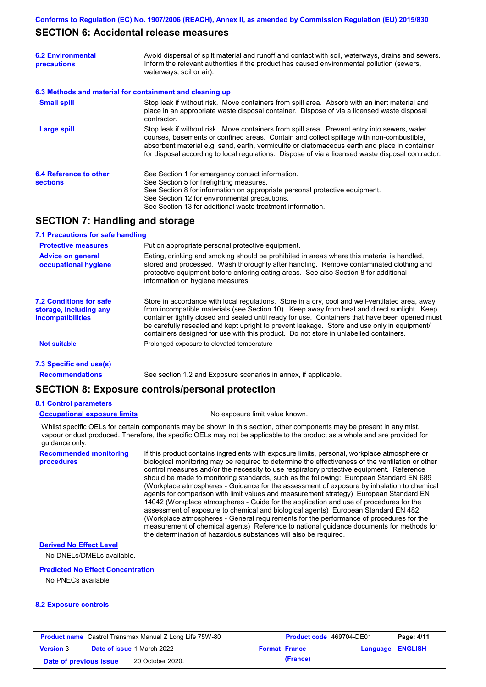### **SECTION 6: Accidental release measures**

| <b>6.2 Environmental</b><br>precautions   | Avoid dispersal of spilt material and runoff and contact with soil, waterways, drains and sewers.<br>Inform the relevant authorities if the product has caused environmental pollution (sewers,<br>waterways, soil or air).                                                                                                                                                                    |
|-------------------------------------------|------------------------------------------------------------------------------------------------------------------------------------------------------------------------------------------------------------------------------------------------------------------------------------------------------------------------------------------------------------------------------------------------|
|                                           | 6.3 Methods and material for containment and cleaning up                                                                                                                                                                                                                                                                                                                                       |
| <b>Small spill</b>                        | Stop leak if without risk. Move containers from spill area. Absorb with an inert material and<br>place in an appropriate waste disposal container. Dispose of via a licensed waste disposal<br>contractor.                                                                                                                                                                                     |
| <b>Large spill</b>                        | Stop leak if without risk. Move containers from spill area. Prevent entry into sewers, water<br>courses, basements or confined areas. Contain and collect spillage with non-combustible,<br>absorbent material e.g. sand, earth, vermiculite or diatomaceous earth and place in container<br>for disposal according to local regulations. Dispose of via a licensed waste disposal contractor. |
| 6.4 Reference to other<br><b>sections</b> | See Section 1 for emergency contact information.<br>See Section 5 for firefighting measures.<br>See Section 8 for information on appropriate personal protective equipment.<br>See Section 12 for environmental precautions.<br>See Section 13 for additional waste treatment information.                                                                                                     |

## **SECTION 7: Handling and storage**

### **7.1 Precautions for safe handling**

| <b>Protective measures</b>                                                    | Put on appropriate personal protective equipment.                                                                                                                                                                                                                                                                                                                                                                                                                                        |
|-------------------------------------------------------------------------------|------------------------------------------------------------------------------------------------------------------------------------------------------------------------------------------------------------------------------------------------------------------------------------------------------------------------------------------------------------------------------------------------------------------------------------------------------------------------------------------|
| <b>Advice on general</b><br>occupational hygiene                              | Eating, drinking and smoking should be prohibited in areas where this material is handled,<br>stored and processed. Wash thoroughly after handling. Remove contaminated clothing and<br>protective equipment before entering eating areas. See also Section 8 for additional<br>information on hygiene measures.                                                                                                                                                                         |
| <b>7.2 Conditions for safe</b><br>storage, including any<br>incompatibilities | Store in accordance with local requlations. Store in a dry, cool and well-ventilated area, away<br>from incompatible materials (see Section 10). Keep away from heat and direct sunlight. Keep<br>container tightly closed and sealed until ready for use. Containers that have been opened must<br>be carefully resealed and kept upright to prevent leakage. Store and use only in equipment/<br>containers designed for use with this product. Do not store in unlabelled containers. |
| <b>Not suitable</b>                                                           | Prolonged exposure to elevated temperature                                                                                                                                                                                                                                                                                                                                                                                                                                               |
| 7.3 Specific end use(s)                                                       |                                                                                                                                                                                                                                                                                                                                                                                                                                                                                          |

See section 1.2 and Exposure scenarios in annex, if applicable.

**Recommendations**

# **SECTION 8: Exposure controls/personal protection**

### **8.1 Control parameters**

**procedures**

#### **Occupational exposure limits** No exposure limit value known.

Whilst specific OELs for certain components may be shown in this section, other components may be present in any mist, vapour or dust produced. Therefore, the specific OELs may not be applicable to the product as a whole and are provided for guidance only.

**Recommended monitoring**  If this product contains ingredients with exposure limits, personal, workplace atmosphere or biological monitoring may be required to determine the effectiveness of the ventilation or other control measures and/or the necessity to use respiratory protective equipment. Reference should be made to monitoring standards, such as the following: European Standard EN 689 (Workplace atmospheres - Guidance for the assessment of exposure by inhalation to chemical agents for comparison with limit values and measurement strategy) European Standard EN 14042 (Workplace atmospheres - Guide for the application and use of procedures for the assessment of exposure to chemical and biological agents) European Standard EN 482 (Workplace atmospheres - General requirements for the performance of procedures for the measurement of chemical agents) Reference to national guidance documents for methods for the determination of hazardous substances will also be required.

### **Derived No Effect Level**

No DNELs/DMELs available.

#### **Predicted No Effect Concentration**

No PNECs available

#### **8.2 Exposure controls**

| <b>Product name</b> Castrol Transmax Manual Z Long Life 75W-80 |  | <b>Product code</b> 469704-DE01   |                      | Page: 4/11 |                  |  |
|----------------------------------------------------------------|--|-----------------------------------|----------------------|------------|------------------|--|
| <b>Version 3</b>                                               |  | <b>Date of issue 1 March 2022</b> | <b>Format France</b> |            | Language ENGLISH |  |
| Date of previous issue                                         |  | 20 October 2020.                  |                      | (France)   |                  |  |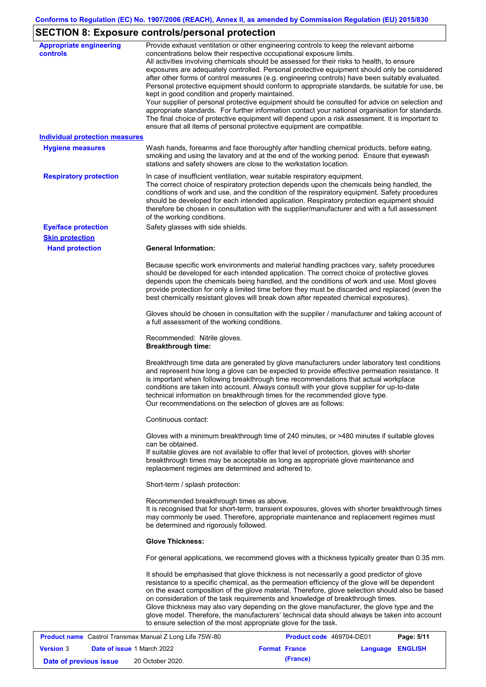# **SECTION 8: Exposure controls/personal protection**

| <b>Appropriate engineering</b>        | Provide exhaust ventilation or other engineering controls to keep the relevant airborne                                                                                                         |
|---------------------------------------|-------------------------------------------------------------------------------------------------------------------------------------------------------------------------------------------------|
| controls                              | concentrations below their respective occupational exposure limits.                                                                                                                             |
|                                       | All activities involving chemicals should be assessed for their risks to health, to ensure                                                                                                      |
|                                       | exposures are adequately controlled. Personal protective equipment should only be considered<br>after other forms of control measures (e.g. engineering controls) have been suitably evaluated. |
|                                       | Personal protective equipment should conform to appropriate standards, be suitable for use, be                                                                                                  |
|                                       | kept in good condition and properly maintained.                                                                                                                                                 |
|                                       | Your supplier of personal protective equipment should be consulted for advice on selection and                                                                                                  |
|                                       | appropriate standards. For further information contact your national organisation for standards.                                                                                                |
|                                       | The final choice of protective equipment will depend upon a risk assessment. It is important to                                                                                                 |
|                                       | ensure that all items of personal protective equipment are compatible.                                                                                                                          |
| <b>Individual protection measures</b> |                                                                                                                                                                                                 |
| <b>Hygiene measures</b>               | Wash hands, forearms and face thoroughly after handling chemical products, before eating,                                                                                                       |
|                                       | smoking and using the lavatory and at the end of the working period. Ensure that eyewash                                                                                                        |
|                                       | stations and safety showers are close to the workstation location.                                                                                                                              |
| <b>Respiratory protection</b>         | In case of insufficient ventilation, wear suitable respiratory equipment.                                                                                                                       |
|                                       | The correct choice of respiratory protection depends upon the chemicals being handled, the                                                                                                      |
|                                       | conditions of work and use, and the condition of the respiratory equipment. Safety procedures                                                                                                   |
|                                       | should be developed for each intended application. Respiratory protection equipment should                                                                                                      |
|                                       | therefore be chosen in consultation with the supplier/manufacturer and with a full assessment                                                                                                   |
|                                       | of the working conditions.                                                                                                                                                                      |
| <b>Eye/face protection</b>            | Safety glasses with side shields.                                                                                                                                                               |
| <b>Skin protection</b>                |                                                                                                                                                                                                 |
| <b>Hand protection</b>                | <b>General Information:</b>                                                                                                                                                                     |
|                                       |                                                                                                                                                                                                 |
|                                       | Because specific work environments and material handling practices vary, safety procedures                                                                                                      |
|                                       | should be developed for each intended application. The correct choice of protective gloves                                                                                                      |
|                                       | depends upon the chemicals being handled, and the conditions of work and use. Most gloves                                                                                                       |
|                                       | provide protection for only a limited time before they must be discarded and replaced (even the<br>best chemically resistant gloves will break down after repeated chemical exposures).         |
|                                       |                                                                                                                                                                                                 |
|                                       | Gloves should be chosen in consultation with the supplier / manufacturer and taking account of                                                                                                  |
|                                       | a full assessment of the working conditions.                                                                                                                                                    |
|                                       |                                                                                                                                                                                                 |
|                                       | Recommended: Nitrile gloves.                                                                                                                                                                    |
|                                       | <b>Breakthrough time:</b>                                                                                                                                                                       |
|                                       | Breakthrough time data are generated by glove manufacturers under laboratory test conditions                                                                                                    |
|                                       | and represent how long a glove can be expected to provide effective permeation resistance. It                                                                                                   |
|                                       | is important when following breakthrough time recommendations that actual workplace                                                                                                             |
|                                       | conditions are taken into account. Always consult with your glove supplier for up-to-date                                                                                                       |
|                                       | technical information on breakthrough times for the recommended glove type.                                                                                                                     |
|                                       | Our recommendations on the selection of gloves are as follows:                                                                                                                                  |
|                                       |                                                                                                                                                                                                 |
|                                       | Continuous contact:                                                                                                                                                                             |
|                                       | Gloves with a minimum breakthrough time of 240 minutes, or >480 minutes if suitable gloves                                                                                                      |
|                                       | can be obtained.                                                                                                                                                                                |
|                                       | If suitable gloves are not available to offer that level of protection, gloves with shorter                                                                                                     |
|                                       | breakthrough times may be acceptable as long as appropriate glove maintenance and                                                                                                               |
|                                       | replacement regimes are determined and adhered to.                                                                                                                                              |
|                                       | Short-term / splash protection:                                                                                                                                                                 |
|                                       | Recommended breakthrough times as above.                                                                                                                                                        |
|                                       | It is recognised that for short-term, transient exposures, gloves with shorter breakthrough times                                                                                               |
|                                       | may commonly be used. Therefore, appropriate maintenance and replacement regimes must                                                                                                           |
|                                       | be determined and rigorously followed.                                                                                                                                                          |
|                                       |                                                                                                                                                                                                 |
|                                       | <b>Glove Thickness:</b>                                                                                                                                                                         |
|                                       | For general applications, we recommend gloves with a thickness typically greater than 0.35 mm.                                                                                                  |
|                                       | It should be emphasised that glove thickness is not necessarily a good predictor of glove                                                                                                       |
|                                       | resistance to a specific chemical, as the permeation efficiency of the glove will be dependent                                                                                                  |
|                                       | on the exact composition of the glove material. Therefore, glove selection should also be based                                                                                                 |
|                                       | on consideration of the task requirements and knowledge of breakthrough times.                                                                                                                  |
|                                       | Glove thickness may also vary depending on the glove manufacturer, the glove type and the<br>glove model. Therefore, the manufacturers' technical data should always be taken into account      |
|                                       | to ensure selection of the most appropriate glove for the task.                                                                                                                                 |
|                                       |                                                                                                                                                                                                 |

|                        | <b>Product name</b> Castrol Transmax Manual Z Long Life 75W-80 | <b>Product code</b> 469704-DE01 |                  | Page: 5/11 |
|------------------------|----------------------------------------------------------------|---------------------------------|------------------|------------|
| <b>Version 3</b>       | <b>Date of issue 1 March 2022</b>                              | <b>Format France</b>            | Language ENGLISH |            |
| Date of previous issue | 20 October 2020.                                               | (France)                        |                  |            |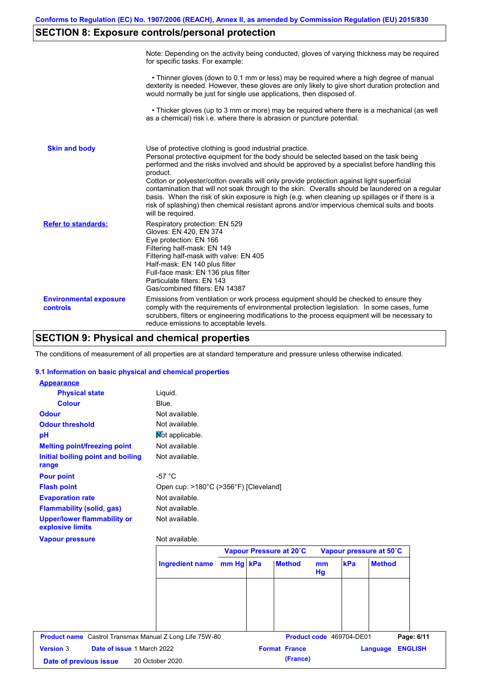## **SECTION 8: Exposure controls/personal protection**

|                                           | Note: Depending on the activity being conducted, gloves of varying thickness may be required<br>for specific tasks. For example:                                                                                                                                                                                                                                                                                                                                                                                                                                                                                                                                                      |
|-------------------------------------------|---------------------------------------------------------------------------------------------------------------------------------------------------------------------------------------------------------------------------------------------------------------------------------------------------------------------------------------------------------------------------------------------------------------------------------------------------------------------------------------------------------------------------------------------------------------------------------------------------------------------------------------------------------------------------------------|
|                                           | • Thinner gloves (down to 0.1 mm or less) may be required where a high degree of manual<br>dexterity is needed. However, these gloves are only likely to give short duration protection and<br>would normally be just for single use applications, then disposed of.                                                                                                                                                                                                                                                                                                                                                                                                                  |
|                                           | • Thicker gloves (up to 3 mm or more) may be required where there is a mechanical (as well<br>as a chemical) risk i.e. where there is abrasion or puncture potential.                                                                                                                                                                                                                                                                                                                                                                                                                                                                                                                 |
| <b>Skin and body</b>                      | Use of protective clothing is good industrial practice.<br>Personal protective equipment for the body should be selected based on the task being<br>performed and the risks involved and should be approved by a specialist before handling this<br>product.<br>Cotton or polyester/cotton overalls will only provide protection against light superficial<br>contamination that will not soak through to the skin. Overalls should be laundered on a regular<br>basis. When the risk of skin exposure is high (e.g. when cleaning up spillages or if there is a<br>risk of splashing) then chemical resistant aprons and/or impervious chemical suits and boots<br>will be required. |
| <b>Refer to standards:</b>                | Respiratory protection: EN 529<br>Gloves: EN 420, EN 374<br>Eye protection: EN 166<br>Filtering half-mask: EN 149<br>Filtering half-mask with valve: EN 405<br>Half-mask: EN 140 plus filter<br>Full-face mask: EN 136 plus filter<br>Particulate filters: EN 143<br>Gas/combined filters: EN 14387                                                                                                                                                                                                                                                                                                                                                                                   |
| <b>Environmental exposure</b><br>controls | Emissions from ventilation or work process equipment should be checked to ensure they<br>comply with the requirements of environmental protection legislation. In some cases, fume<br>scrubbers, filters or engineering modifications to the process equipment will be necessary to<br>reduce emissions to acceptable levels.                                                                                                                                                                                                                                                                                                                                                         |

## **SECTION 9: Physical and chemical properties**

The conditions of measurement of all properties are at standard temperature and pressure unless otherwise indicated.

### **9.1 Information on basic physical and chemical properties**

| <b>Version 3</b><br>Date of issue 1 March 2022<br>Date of previous issue | 20 October 2020.                      |  | <b>Format France</b><br>(France) |    |                          | Language                | <b>ENGLISH</b> |
|--------------------------------------------------------------------------|---------------------------------------|--|----------------------------------|----|--------------------------|-------------------------|----------------|
| <b>Product name</b> Castrol Transmax Manual Z Long Life 75W-80           |                                       |  |                                  |    | Product code 469704-DE01 |                         | Page: 6/11     |
|                                                                          |                                       |  |                                  |    |                          |                         |                |
|                                                                          |                                       |  |                                  | Hg |                          |                         |                |
|                                                                          | Ingredient name mm Hg kPa             |  | <b>Method</b>                    | mm | kPa                      | <b>Method</b>           |                |
| <b>Vapour pressure</b>                                                   | Not available.                        |  | Vapour Pressure at 20°C          |    |                          | Vapour pressure at 50°C |                |
| <b>Upper/lower flammability or</b><br>explosive limits                   | Not available.                        |  |                                  |    |                          |                         |                |
| <b>Flammability (solid, gas)</b>                                         | Not available.                        |  |                                  |    |                          |                         |                |
| <b>Evaporation rate</b>                                                  | Not available.                        |  |                                  |    |                          |                         |                |
| <b>Flash point</b>                                                       | Open cup: >180°C (>356°F) [Cleveland] |  |                                  |    |                          |                         |                |
| <b>Pour point</b>                                                        | $-57 °C$                              |  |                                  |    |                          |                         |                |
| Initial boiling point and boiling<br>range                               | Not available.                        |  |                                  |    |                          |                         |                |
| <b>Melting point/freezing point</b>                                      | Not available.                        |  |                                  |    |                          |                         |                |
| pH                                                                       | Not applicable.                       |  |                                  |    |                          |                         |                |
| <b>Odour threshold</b>                                                   | Not available.                        |  |                                  |    |                          |                         |                |
| <b>Odour</b>                                                             | Not available.                        |  |                                  |    |                          |                         |                |
| <b>Colour</b>                                                            | Blue.                                 |  |                                  |    |                          |                         |                |
| <b>Physical state</b>                                                    | Liquid.                               |  |                                  |    |                          |                         |                |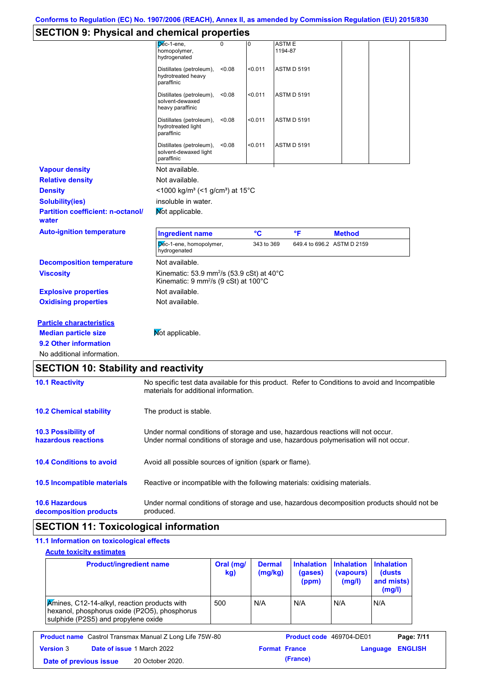## **SECTION 9: Physical and chemical properties**

|                                                   | י                                                                                                                                                                       |                   |                         |                            |  |  |
|---------------------------------------------------|-------------------------------------------------------------------------------------------------------------------------------------------------------------------------|-------------------|-------------------------|----------------------------|--|--|
|                                                   | $D6c-1$ -ene,<br>0<br>homopolymer,<br>hydrogenated                                                                                                                      | 0                 | <b>ASTME</b><br>1194-87 |                            |  |  |
|                                                   | Distillates (petroleum),<br>hydrotreated heavy<br>paraffinic                                                                                                            | < 0.011<br>< 0.08 | <b>ASTM D 5191</b>      |                            |  |  |
|                                                   | Distillates (petroleum),<br>solvent-dewaxed<br>heavy paraffinic                                                                                                         | < 0.011<br>< 0.08 | <b>ASTM D 5191</b>      |                            |  |  |
|                                                   | Distillates (petroleum),<br>hydrotreated light<br>paraffinic                                                                                                            | < 0.08<br>< 0.011 | <b>ASTM D 5191</b>      |                            |  |  |
|                                                   | Distillates (petroleum),<br>solvent-dewaxed light<br>paraffinic                                                                                                         | < 0.08<br>< 0.011 | <b>ASTM D 5191</b>      |                            |  |  |
| <b>Vapour density</b>                             | Not available.                                                                                                                                                          |                   |                         |                            |  |  |
| <b>Relative density</b>                           | Not available.                                                                                                                                                          |                   |                         |                            |  |  |
| <b>Density</b>                                    | <1000 kg/m <sup>3</sup> (<1 g/cm <sup>3</sup> ) at 15 <sup>°</sup> C                                                                                                    |                   |                         |                            |  |  |
| <b>Solubility(ies)</b>                            | insoluble in water.                                                                                                                                                     |                   |                         |                            |  |  |
| <b>Partition coefficient: n-octanol/</b><br>water | Mot applicable.                                                                                                                                                         |                   |                         |                            |  |  |
| <b>Auto-ignition temperature</b>                  | <b>Ingredient name</b>                                                                                                                                                  | $\rm ^{\circ}C$   | °F                      | <b>Method</b>              |  |  |
|                                                   | Dec-1-ene, homopolymer,<br>hydrogenated                                                                                                                                 |                   | 343 to 369              | 649.4 to 696.2 ASTM D 2159 |  |  |
| <b>Decomposition temperature</b>                  | Not available.                                                                                                                                                          |                   |                         |                            |  |  |
| <b>Viscosity</b>                                  | Kinematic: 53.9 mm <sup>2</sup> /s (53.9 cSt) at 40°C<br>Kinematic: 9 mm <sup>2</sup> /s (9 cSt) at 100°C                                                               |                   |                         |                            |  |  |
| <b>Explosive properties</b>                       | Not available.                                                                                                                                                          |                   |                         |                            |  |  |
| <b>Oxidising properties</b>                       | Not available.                                                                                                                                                          |                   |                         |                            |  |  |
| <b>Particle characteristics</b>                   |                                                                                                                                                                         |                   |                         |                            |  |  |
| <b>Median particle size</b>                       | Mot applicable.                                                                                                                                                         |                   |                         |                            |  |  |
| 9.2 Other information                             |                                                                                                                                                                         |                   |                         |                            |  |  |
| No additional information.                        |                                                                                                                                                                         |                   |                         |                            |  |  |
| <b>SECTION 10: Stability and reactivity</b>       |                                                                                                                                                                         |                   |                         |                            |  |  |
| <b>10.1 Reactivity</b>                            | No specific test data available for this product. Refer to Conditions to avoid and Incompatible<br>materials for additional information.                                |                   |                         |                            |  |  |
| <b>10.2 Chemical stability</b>                    | The product is stable.                                                                                                                                                  |                   |                         |                            |  |  |
| 10.3 Possibility of<br>hazardous reactions        | Under normal conditions of storage and use, hazardous reactions will not occur.<br>Under normal conditions of storage and use, hazardous polymerisation will not occur. |                   |                         |                            |  |  |
| <b>10.4 Conditions to avoid</b>                   | Avoid all possible sources of ignition (spark or flame).                                                                                                                |                   |                         |                            |  |  |
| 10.5 Incompatible materials                       | Reactive or incompatible with the following materials: oxidising materials.                                                                                             |                   |                         |                            |  |  |

**10.6 Hazardous decomposition products** Under normal conditions of storage and use, hazardous decomposition products should not be produced.

## **SECTION 11: Toxicological information**

### **11.1 Information on toxicological effects Acute toxicity estimates**

| <b>Amines, C12-14-alkyl, reaction products with</b><br>500<br>N/A<br>N/A<br>N/A<br>N/A<br>hexanol, phosphorus oxide (P2O5), phosphorus<br>sulphide (P2S5) and propylene oxide | <b>Product/ingredient name</b> | Oral (mg/<br>kg) | <b>Dermal</b><br>(mg/kg) | <b>Inhalation</b><br>(gases)<br>(ppm) | <b>Inhalation</b><br>(vapours)<br>(mg/l) | <b>Inhalation</b><br>(dusts)<br>and mists)<br>(mg/l) |
|-------------------------------------------------------------------------------------------------------------------------------------------------------------------------------|--------------------------------|------------------|--------------------------|---------------------------------------|------------------------------------------|------------------------------------------------------|
|                                                                                                                                                                               |                                |                  |                          |                                       |                                          |                                                      |

**Version** 3 **Date of issue** 1 March 2022 **Format France Language ENGLISH Date of previous issue (France)** 20 October 2020.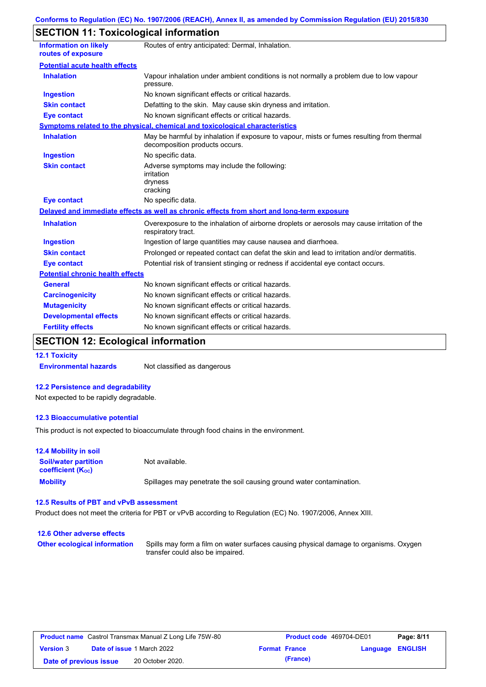## **SECTION 11: Toxicological information**

| <b>Information on likely</b><br>routes of exposure | Routes of entry anticipated: Dermal, Inhalation.                                                                            |
|----------------------------------------------------|-----------------------------------------------------------------------------------------------------------------------------|
| <b>Potential acute health effects</b>              |                                                                                                                             |
| <b>Inhalation</b>                                  | Vapour inhalation under ambient conditions is not normally a problem due to low vapour<br>pressure.                         |
| <b>Ingestion</b>                                   | No known significant effects or critical hazards.                                                                           |
| <b>Skin contact</b>                                | Defatting to the skin. May cause skin dryness and irritation.                                                               |
| <b>Eye contact</b>                                 | No known significant effects or critical hazards.                                                                           |
|                                                    | Symptoms related to the physical, chemical and toxicological characteristics                                                |
| <b>Inhalation</b>                                  | May be harmful by inhalation if exposure to vapour, mists or fumes resulting from thermal<br>decomposition products occurs. |
| <b>Ingestion</b>                                   | No specific data.                                                                                                           |
| <b>Skin contact</b>                                | Adverse symptoms may include the following:<br>irritation<br>dryness<br>cracking                                            |
| <b>Eye contact</b>                                 | No specific data.                                                                                                           |
|                                                    | Delayed and immediate effects as well as chronic effects from short and long-term exposure                                  |
| <b>Inhalation</b>                                  | Overexposure to the inhalation of airborne droplets or aerosols may cause irritation of the<br>respiratory tract.           |
| <b>Ingestion</b>                                   | Ingestion of large quantities may cause nausea and diarrhoea.                                                               |
| <b>Skin contact</b>                                | Prolonged or repeated contact can defat the skin and lead to irritation and/or dermatitis.                                  |
| <b>Eye contact</b>                                 | Potential risk of transient stinging or redness if accidental eye contact occurs.                                           |
| <b>Potential chronic health effects</b>            |                                                                                                                             |
| <b>General</b>                                     | No known significant effects or critical hazards.                                                                           |
| <b>Carcinogenicity</b>                             | No known significant effects or critical hazards.                                                                           |
| <b>Mutagenicity</b>                                | No known significant effects or critical hazards.                                                                           |
| <b>Developmental effects</b>                       | No known significant effects or critical hazards.                                                                           |
| <b>Fertility effects</b>                           | No known significant effects or critical hazards.                                                                           |

# **SECTION 12: Ecological information**

**12.1 Toxicity**

**Environmental hazards** Not classified as dangerous

### **12.2 Persistence and degradability**

Not expected to be rapidly degradable.

### **12.3 Bioaccumulative potential**

This product is not expected to bioaccumulate through food chains in the environment.

| <b>12.4 Mobility in soil</b>                            |                                                                      |
|---------------------------------------------------------|----------------------------------------------------------------------|
| <b>Soil/water partition</b><br><b>coefficient (Koc)</b> | Not available.                                                       |
| <b>Mobility</b>                                         | Spillages may penetrate the soil causing ground water contamination. |

### **12.5 Results of PBT and vPvB assessment**

Product does not meet the criteria for PBT or vPvB according to Regulation (EC) No. 1907/2006, Annex XIII.

| 12.6 Other adverse effects          |                                                                                                                           |
|-------------------------------------|---------------------------------------------------------------------------------------------------------------------------|
| <b>Other ecological information</b> | Spills may form a film on water surfaces causing physical damage to organisms. Oxygen<br>transfer could also be impaired. |

| <b>Product name</b> Castrol Transmax Manual Z Long Life 75W-80 |  |                                   | <b>Product code</b> 469704-DE01 |                         | Page: 8/11 |
|----------------------------------------------------------------|--|-----------------------------------|---------------------------------|-------------------------|------------|
| <b>Version 3</b>                                               |  | <b>Date of issue 1 March 2022</b> | <b>Format France</b>            | <b>Language ENGLISH</b> |            |
| Date of previous issue                                         |  | 20 October 2020.                  | (France)                        |                         |            |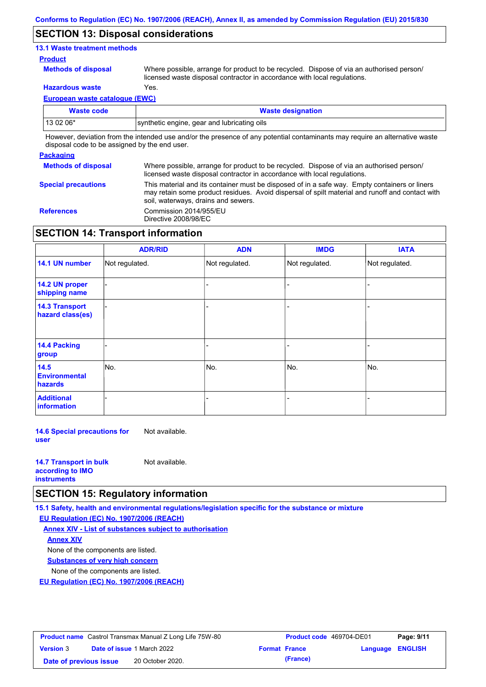### **SECTION 13: Disposal considerations**

### **13.1 Waste treatment methods**

#### **Product**

**Methods of disposal**

Where possible, arrange for product to be recycled. Dispose of via an authorised person/ licensed waste disposal contractor in accordance with local regulations.

**Hazardous waste** Yes.

**European waste catalogue (EWC)**

| <b>Waste code</b>                                                                                                                                                                                                              | <b>Waste designation</b>                    |  |  |
|--------------------------------------------------------------------------------------------------------------------------------------------------------------------------------------------------------------------------------|---------------------------------------------|--|--|
| $130206*$                                                                                                                                                                                                                      | synthetic engine, gear and lubricating oils |  |  |
| The common students of the common states of the first common common students of the common common states of the common states of the common states of the common states of the common states of the common states of the commo |                                             |  |  |

However, deviation from the intended use and/or the presence of any potential contaminants may require an alternative waste disposal code to be assigned by the end user.

### **Packaging**

| - ----------               |                                                                                                                                                                                                                                         |
|----------------------------|-----------------------------------------------------------------------------------------------------------------------------------------------------------------------------------------------------------------------------------------|
| <b>Methods of disposal</b> | Where possible, arrange for product to be recycled. Dispose of via an authorised person/<br>licensed waste disposal contractor in accordance with local regulations.                                                                    |
| <b>Special precautions</b> | This material and its container must be disposed of in a safe way. Empty containers or liners<br>may retain some product residues. Avoid dispersal of spilt material and runoff and contact with<br>soil, waterways, drains and sewers. |
| <b>References</b>          | Commission 2014/955/EU<br>Directive 2008/98/EC                                                                                                                                                                                          |

## **SECTION 14: Transport information**

|                                                | <b>ADR/RID</b> | <b>ADN</b>     | <b>IMDG</b>    | <b>IATA</b>    |
|------------------------------------------------|----------------|----------------|----------------|----------------|
| 14.1 UN number                                 | Not regulated. | Not regulated. | Not regulated. | Not regulated. |
| 14.2 UN proper<br>shipping name                |                |                |                |                |
| <b>14.3 Transport</b><br>hazard class(es)      |                |                |                |                |
| <b>14.4 Packing</b><br>group                   |                |                |                |                |
| 14.5<br><b>Environmental</b><br><b>hazards</b> | No.            | No.            | No.            | No.            |
| <b>Additional</b><br>information               |                |                |                |                |

**14.6 Special precautions for user** Not available.

| <b>14.7 Transport in bulk</b> | Not available. |
|-------------------------------|----------------|
| according to <b>IMO</b>       |                |
| <b>instruments</b>            |                |

## **SECTION 15: Regulatory information**

**15.1 Safety, health and environmental regulations/legislation specific for the substance or mixture**

**EU Regulation (EC) No. 1907/2006 (REACH)**

**Annex XIV - List of substances subject to authorisation Substances of very high concern** None of the components are listed. None of the components are listed. **Annex XIV**

**EU Regulation (EC) No. 1907/2006 (REACH)**

| <b>Product name</b> Castrol Transmax Manual Z Long Life 75W-80 |  |                                   | <b>Product code</b> 469704-DE01 |                      | Page: 9/11              |  |
|----------------------------------------------------------------|--|-----------------------------------|---------------------------------|----------------------|-------------------------|--|
| <b>Version 3</b>                                               |  | <b>Date of issue 1 March 2022</b> |                                 | <b>Format France</b> | <b>Language ENGLISH</b> |  |
| Date of previous issue                                         |  | 20 October 2020.                  |                                 | (France)             |                         |  |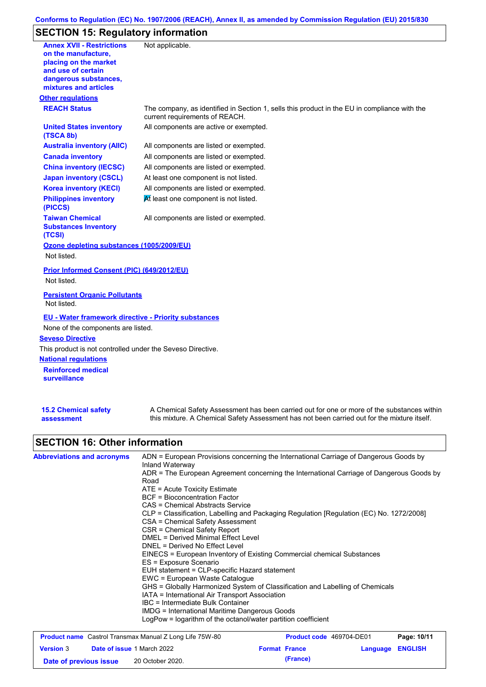## **Conforms to Regulation (EC) No. 1907/2006 (REACH), Annex II, as amended by Commission Regulation (EU) 2015/830**

# **SECTION 15: Regulatory information**

| mixtures and articles<br><b>Other regulations</b><br><b>REACH Status</b><br>The company, as identified in Section 1, sells this product in the EU in compliance with the<br>current requirements of REACH.<br><b>United States inventory</b><br>All components are active or exempted.<br>(TSCA 8b)<br><b>Australia inventory (AIIC)</b><br>All components are listed or exempted.<br>All components are listed or exempted.<br><b>Canada inventory</b><br>All components are listed or exempted.<br><b>China inventory (IECSC)</b><br><b>Japan inventory (CSCL)</b><br>At least one component is not listed.<br><b>Korea inventory (KECI)</b><br>All components are listed or exempted.<br>At least one component is not listed.<br><b>Philippines inventory</b><br>(PICCS)<br><b>Taiwan Chemical</b><br>All components are listed or exempted.<br><b>Substances Inventory</b><br>(TCSI)<br>Ozone depleting substances (1005/2009/EU)<br>Not listed.<br>Prior Informed Consent (PIC) (649/2012/EU)<br>Not listed.<br><b>Persistent Organic Pollutants</b><br>Not listed.<br><b>EU - Water framework directive - Priority substances</b><br>None of the components are listed.<br><b>Seveso Directive</b><br>This product is not controlled under the Seveso Directive.<br><b>National regulations</b><br><b>Reinforced medical</b> | <b>Annex XVII - Restrictions</b><br>on the manufacture,<br>placing on the market<br>and use of certain<br>dangerous substances, | Not applicable. |
|-------------------------------------------------------------------------------------------------------------------------------------------------------------------------------------------------------------------------------------------------------------------------------------------------------------------------------------------------------------------------------------------------------------------------------------------------------------------------------------------------------------------------------------------------------------------------------------------------------------------------------------------------------------------------------------------------------------------------------------------------------------------------------------------------------------------------------------------------------------------------------------------------------------------------------------------------------------------------------------------------------------------------------------------------------------------------------------------------------------------------------------------------------------------------------------------------------------------------------------------------------------------------------------------------------------------------------------|---------------------------------------------------------------------------------------------------------------------------------|-----------------|
|                                                                                                                                                                                                                                                                                                                                                                                                                                                                                                                                                                                                                                                                                                                                                                                                                                                                                                                                                                                                                                                                                                                                                                                                                                                                                                                                     |                                                                                                                                 |                 |
|                                                                                                                                                                                                                                                                                                                                                                                                                                                                                                                                                                                                                                                                                                                                                                                                                                                                                                                                                                                                                                                                                                                                                                                                                                                                                                                                     |                                                                                                                                 |                 |
|                                                                                                                                                                                                                                                                                                                                                                                                                                                                                                                                                                                                                                                                                                                                                                                                                                                                                                                                                                                                                                                                                                                                                                                                                                                                                                                                     |                                                                                                                                 |                 |
|                                                                                                                                                                                                                                                                                                                                                                                                                                                                                                                                                                                                                                                                                                                                                                                                                                                                                                                                                                                                                                                                                                                                                                                                                                                                                                                                     |                                                                                                                                 |                 |
|                                                                                                                                                                                                                                                                                                                                                                                                                                                                                                                                                                                                                                                                                                                                                                                                                                                                                                                                                                                                                                                                                                                                                                                                                                                                                                                                     |                                                                                                                                 |                 |
|                                                                                                                                                                                                                                                                                                                                                                                                                                                                                                                                                                                                                                                                                                                                                                                                                                                                                                                                                                                                                                                                                                                                                                                                                                                                                                                                     |                                                                                                                                 |                 |
|                                                                                                                                                                                                                                                                                                                                                                                                                                                                                                                                                                                                                                                                                                                                                                                                                                                                                                                                                                                                                                                                                                                                                                                                                                                                                                                                     |                                                                                                                                 |                 |
|                                                                                                                                                                                                                                                                                                                                                                                                                                                                                                                                                                                                                                                                                                                                                                                                                                                                                                                                                                                                                                                                                                                                                                                                                                                                                                                                     |                                                                                                                                 |                 |
|                                                                                                                                                                                                                                                                                                                                                                                                                                                                                                                                                                                                                                                                                                                                                                                                                                                                                                                                                                                                                                                                                                                                                                                                                                                                                                                                     |                                                                                                                                 |                 |
|                                                                                                                                                                                                                                                                                                                                                                                                                                                                                                                                                                                                                                                                                                                                                                                                                                                                                                                                                                                                                                                                                                                                                                                                                                                                                                                                     |                                                                                                                                 |                 |
|                                                                                                                                                                                                                                                                                                                                                                                                                                                                                                                                                                                                                                                                                                                                                                                                                                                                                                                                                                                                                                                                                                                                                                                                                                                                                                                                     |                                                                                                                                 |                 |
|                                                                                                                                                                                                                                                                                                                                                                                                                                                                                                                                                                                                                                                                                                                                                                                                                                                                                                                                                                                                                                                                                                                                                                                                                                                                                                                                     |                                                                                                                                 |                 |
|                                                                                                                                                                                                                                                                                                                                                                                                                                                                                                                                                                                                                                                                                                                                                                                                                                                                                                                                                                                                                                                                                                                                                                                                                                                                                                                                     |                                                                                                                                 |                 |
|                                                                                                                                                                                                                                                                                                                                                                                                                                                                                                                                                                                                                                                                                                                                                                                                                                                                                                                                                                                                                                                                                                                                                                                                                                                                                                                                     |                                                                                                                                 |                 |
|                                                                                                                                                                                                                                                                                                                                                                                                                                                                                                                                                                                                                                                                                                                                                                                                                                                                                                                                                                                                                                                                                                                                                                                                                                                                                                                                     |                                                                                                                                 |                 |
| <b>surveillance</b>                                                                                                                                                                                                                                                                                                                                                                                                                                                                                                                                                                                                                                                                                                                                                                                                                                                                                                                                                                                                                                                                                                                                                                                                                                                                                                                 |                                                                                                                                 |                 |
| <b>15.2 Chemical safety</b><br>A Chemical Safety Assessment has been carried out for one or more of the substances within<br>this mixture. A Chemical Safety Assessment has not been carried out for the mixture itself.<br>assessment<br><b>SECTION 16: Other information</b>                                                                                                                                                                                                                                                                                                                                                                                                                                                                                                                                                                                                                                                                                                                                                                                                                                                                                                                                                                                                                                                      |                                                                                                                                 |                 |

| <b>Abbreviations and acronyms</b> | Inland Waterway                                                                                                                                                                                                                              | ADN = European Provisions concerning the International Carriage of Dangerous Goods by    |  |  |  |  |                                                                                           |  |                          |             |  |
|-----------------------------------|----------------------------------------------------------------------------------------------------------------------------------------------------------------------------------------------------------------------------------------------|------------------------------------------------------------------------------------------|--|--|--|--|-------------------------------------------------------------------------------------------|--|--------------------------|-------------|--|
|                                   |                                                                                                                                                                                                                                              | ADR = The European Agreement concerning the International Carriage of Dangerous Goods by |  |  |  |  |                                                                                           |  |                          |             |  |
|                                   | Road                                                                                                                                                                                                                                         |                                                                                          |  |  |  |  |                                                                                           |  |                          |             |  |
|                                   | $ATE = Acute Toxicity Estimate$                                                                                                                                                                                                              |                                                                                          |  |  |  |  |                                                                                           |  |                          |             |  |
|                                   | BCF = Bioconcentration Factor<br>CAS = Chemical Abstracts Service                                                                                                                                                                            |                                                                                          |  |  |  |  |                                                                                           |  |                          |             |  |
|                                   |                                                                                                                                                                                                                                              |                                                                                          |  |  |  |  |                                                                                           |  |                          |             |  |
|                                   |                                                                                                                                                                                                                                              | CLP = Classification, Labelling and Packaging Regulation [Regulation (EC) No. 1272/2008] |  |  |  |  |                                                                                           |  |                          |             |  |
|                                   | CSA = Chemical Safety Assessment                                                                                                                                                                                                             |                                                                                          |  |  |  |  |                                                                                           |  |                          |             |  |
|                                   | CSR = Chemical Safety Report                                                                                                                                                                                                                 |                                                                                          |  |  |  |  |                                                                                           |  |                          |             |  |
|                                   | DMEL = Derived Minimal Effect Level                                                                                                                                                                                                          |                                                                                          |  |  |  |  |                                                                                           |  |                          |             |  |
|                                   | DNEL = Derived No Effect Level<br>EINECS = European Inventory of Existing Commercial chemical Substances                                                                                                                                     |                                                                                          |  |  |  |  |                                                                                           |  |                          |             |  |
|                                   |                                                                                                                                                                                                                                              |                                                                                          |  |  |  |  |                                                                                           |  |                          |             |  |
|                                   | ES = Exposure Scenario<br>EUH statement = CLP-specific Hazard statement<br>EWC = European Waste Cataloque<br>GHS = Globally Harmonized System of Classification and Labelling of Chemicals<br>IATA = International Air Transport Association |                                                                                          |  |  |  |  |                                                                                           |  |                          |             |  |
|                                   |                                                                                                                                                                                                                                              |                                                                                          |  |  |  |  | IBC = Intermediate Bulk Container<br><b>IMDG</b> = International Maritime Dangerous Goods |  |                          |             |  |
|                                   |                                                                                                                                                                                                                                              |                                                                                          |  |  |  |  |                                                                                           |  |                          |             |  |
|                                   |                                                                                                                                                                                                                                              |                                                                                          |  |  |  |  | <b>Product name</b> Castrol Transmax Manual Z Long Life 75W-80                            |  | Product code 469704-DE01 | Page: 10/11 |  |

| <b>Thoughof Humb</b> Caption Hanomax Manadi Z Long Life Tory Co |  |                                   | $1.1$ vanvivous tool of Devi | . <b>.</b>       |  |
|-----------------------------------------------------------------|--|-----------------------------------|------------------------------|------------------|--|
| <b>Version 3</b>                                                |  | <b>Date of issue 1 March 2022</b> | <b>Format France</b>         | Language ENGLISH |  |
| Date of previous issue                                          |  | 20 October 2020.                  | (France)                     |                  |  |